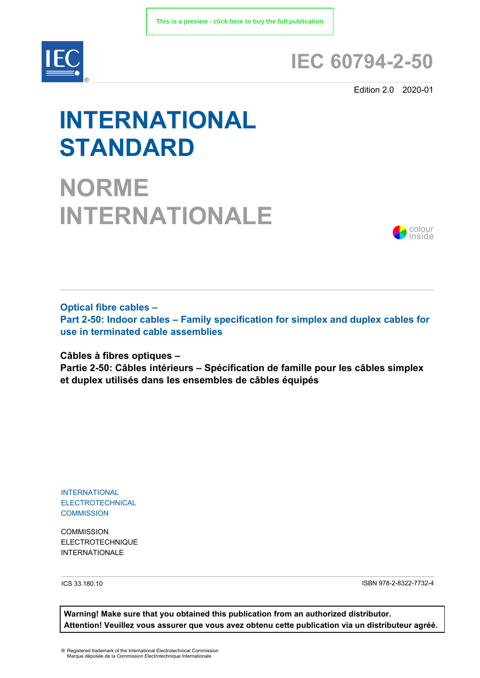

# **IEC 60794-2-50**

Edition 2.0 2020-01

# **INTERNATIONAL STANDARD**

**NORME INTERNATIONALE**



**Optical fibre cables – Part 2-50: Indoor cables – Family specification for simplex and duplex cables for use in terminated cable assemblies**

**Câbles à fibres optiques –** 

**Partie 2-50: Câbles intérieurs – Spécification de famille pour les câbles simplex et duplex utilisés dans les ensembles de câbles équipés**

INTERNATIONAL ELECTROTECHNICAL **COMMISSION** 

**COMMISSION** ELECTROTECHNIQUE INTERNATIONALE

ICS 33.180.10 ISBN 978-2-8322-7732-4

**Warning! Make sure that you obtained this publication from an authorized distributor. Attention! Veuillez vous assurer que vous avez obtenu cette publication via un distributeur agréé.**

® Registered trademark of the International Electrotechnical Commission Marque déposée de la Commission Electrotechnique Internationale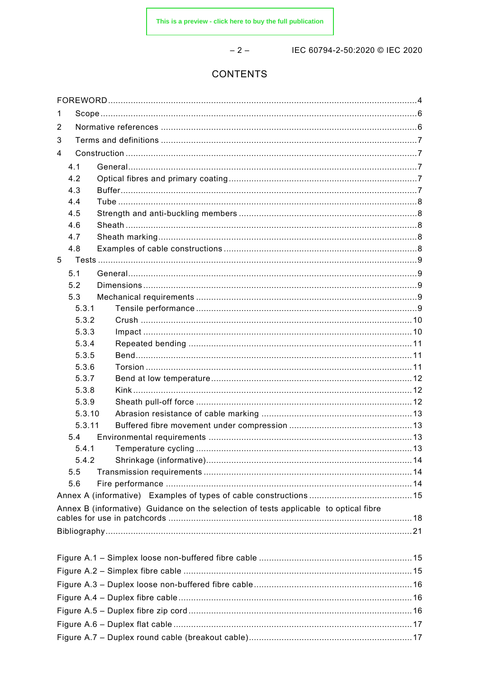$-2$  - IEC 60794-2-50:2020 © IEC 2020

# CONTENTS

| 1              |              |                                                                                      |  |
|----------------|--------------|--------------------------------------------------------------------------------------|--|
| 2              |              |                                                                                      |  |
| 3              |              |                                                                                      |  |
| $\overline{4}$ |              |                                                                                      |  |
|                | 4.1          |                                                                                      |  |
|                | 4.2          |                                                                                      |  |
|                | 4.3          |                                                                                      |  |
|                | 4.4          |                                                                                      |  |
|                | 4.5          |                                                                                      |  |
|                | 4.6          |                                                                                      |  |
|                | 4.7          |                                                                                      |  |
|                | 4.8          |                                                                                      |  |
| 5              |              |                                                                                      |  |
|                | 5.1          |                                                                                      |  |
|                | 5.2          |                                                                                      |  |
|                | 5.3          |                                                                                      |  |
|                | 5.3.1        |                                                                                      |  |
|                | 5.3.2        |                                                                                      |  |
|                | 5.3.3        |                                                                                      |  |
|                | 5.3.4        |                                                                                      |  |
|                | 5.3.5        |                                                                                      |  |
|                | 5.3.6        |                                                                                      |  |
|                | 5.3.7        |                                                                                      |  |
|                | 5.3.8        |                                                                                      |  |
|                | 5.3.9        |                                                                                      |  |
|                | 5.3.10       |                                                                                      |  |
|                | 5.3.11       |                                                                                      |  |
|                | 5.4          |                                                                                      |  |
|                | 5.4.1        |                                                                                      |  |
|                | 5.4.2<br>5.5 |                                                                                      |  |
|                | 5.6          |                                                                                      |  |
|                |              |                                                                                      |  |
|                |              |                                                                                      |  |
|                |              | Annex B (informative) Guidance on the selection of tests applicable to optical fibre |  |
|                |              |                                                                                      |  |
|                |              |                                                                                      |  |
|                |              |                                                                                      |  |
|                |              |                                                                                      |  |
|                |              |                                                                                      |  |
|                |              |                                                                                      |  |
|                |              |                                                                                      |  |
|                |              |                                                                                      |  |
|                |              |                                                                                      |  |
|                |              |                                                                                      |  |
|                |              |                                                                                      |  |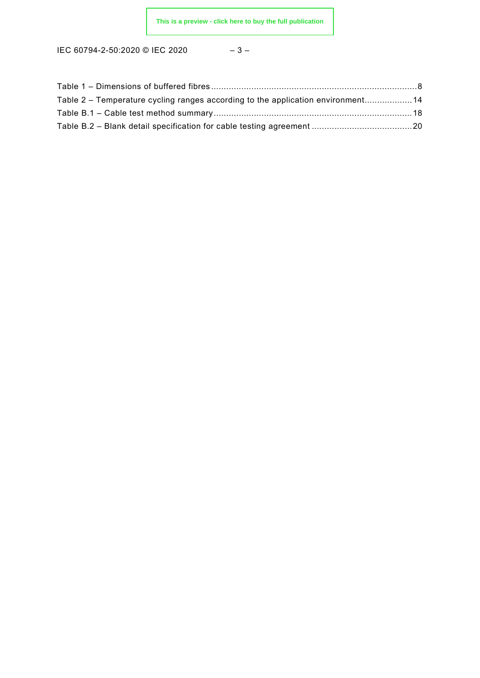IEC 60794-2-50:2020 © IEC 2020 – 3 –

|--|--|--|

| Table 2 – Temperature cycling ranges according to the application environment 14 |  |
|----------------------------------------------------------------------------------|--|
|                                                                                  |  |
|                                                                                  |  |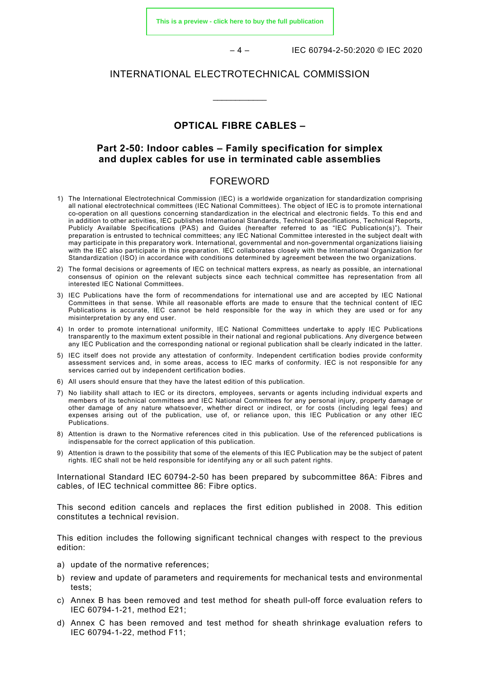**[This is a preview - click here to buy the full publication](https://webstore.iec.ch/publication/34396&preview)**

– 4 – IEC 60794-2-50:2020 © IEC 2020

#### INTERNATIONAL ELECTROTECHNICAL COMMISSION

\_\_\_\_\_\_\_\_\_\_\_\_

#### **OPTICAL FIBRE CABLES –**

#### **Part 2-50: Indoor cables – Family specification for simplex and duplex cables for use in terminated cable assemblies**

#### FOREWORD

- <span id="page-3-0"></span>1) The International Electrotechnical Commission (IEC) is a worldwide organization for standardization comprising all national electrotechnical committees (IEC National Committees). The object of IEC is to promote international co-operation on all questions concerning standardization in the electrical and electronic fields. To this end and in addition to other activities, IEC publishes International Standards, Technical Specifications, Technical Reports, Publicly Available Specifications (PAS) and Guides (hereafter referred to as "IEC Publication(s)"). Their preparation is entrusted to technical committees; any IEC National Committee interested in the subject dealt with may participate in this preparatory work. International, governmental and non-governmental organizations liaising with the IEC also participate in this preparation. IEC collaborates closely with the International Organization for Standardization (ISO) in accordance with conditions determined by agreement between the two organizations.
- 2) The formal decisions or agreements of IEC on technical matters express, as nearly as possible, an international consensus of opinion on the relevant subjects since each technical committee has representation from all interested IEC National Committees.
- 3) IEC Publications have the form of recommendations for international use and are accepted by IEC National Committees in that sense. While all reasonable efforts are made to ensure that the technical content of IEC Publications is accurate, IEC cannot be held responsible for the way in which they are used or for any misinterpretation by any end user.
- 4) In order to promote international uniformity, IEC National Committees undertake to apply IEC Publications transparently to the maximum extent possible in their national and regional publications. Any divergence between any IEC Publication and the corresponding national or regional publication shall be clearly indicated in the latter.
- 5) IEC itself does not provide any attestation of conformity. Independent certification bodies provide conformity assessment services and, in some areas, access to IEC marks of conformity. IEC is not responsible for any services carried out by independent certification bodies.
- 6) All users should ensure that they have the latest edition of this publication.
- 7) No liability shall attach to IEC or its directors, employees, servants or agents including individual experts and members of its technical committees and IEC National Committees for any personal injury, property damage or other damage of any nature whatsoever, whether direct or indirect, or for costs (including legal fees) and expenses arising out of the publication, use of, or reliance upon, this IEC Publication or any other IEC Publications.
- 8) Attention is drawn to the Normative references cited in this publication. Use of the referenced publications is indispensable for the correct application of this publication.
- 9) Attention is drawn to the possibility that some of the elements of this IEC Publication may be the subject of patent rights. IEC shall not be held responsible for identifying any or all such patent rights.

International Standard IEC 60794-2-50 has been prepared by subcommittee 86A: Fibres and cables, of IEC technical committee 86: Fibre optics.

This second edition cancels and replaces the first edition published in 2008. This edition constitutes a technical revision.

This edition includes the following significant technical changes with respect to the previous edition:

- a) update of the normative references;
- b) review and update of parameters and requirements for mechanical tests and environmental tests;
- c) Annex B has been removed and test method for sheath pull-off force evaluation refers to IEC 60794-1-21, method E21;
- d) Annex C has been removed and test method for sheath shrinkage evaluation refers to IEC 60794-1-22, method F11;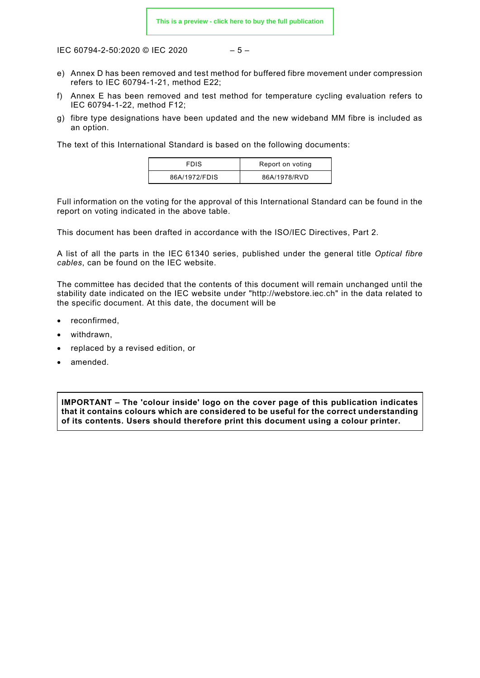IEC 60794-2-50:2020 © IEC 2020 – 5 –

- e) Annex D has been removed and test method for buffered fibre movement under compression refers to IEC 60794-1-21, method E22;
- f) Annex E has been removed and test method for temperature cycling evaluation refers to IEC 60794-1-22, method F12;
- g) fibre type designations have been updated and the new wideband MM fibre is included as an option.

The text of this International Standard is based on the following documents:

| <b>FDIS</b>   | Report on voting |
|---------------|------------------|
| 86A/1972/FDIS | 86A/1978/RVD     |

Full information on the voting for the approval of this International Standard can be found in the report on voting indicated in the above table.

This document has been drafted in accordance with the ISO/IEC Directives, Part 2.

A list of all the parts in the IEC 61340 series, published under the general title *Optical fibre cables*, can be found on the IEC website.

The committee has decided that the contents of this document will remain unchanged until the stability date indicated on the IEC website under "http://webstore.iec.ch" in the data related to the specific document. At this date, the document will be

- reconfirmed,
- withdrawn.
- replaced by a revised edition, or
- amended.

**IMPORTANT – The 'colour inside' logo on the cover page of this publication indicates that it contains colours which are considered to be useful for the correct understanding of its contents. Users should therefore print this document using a colour printer.**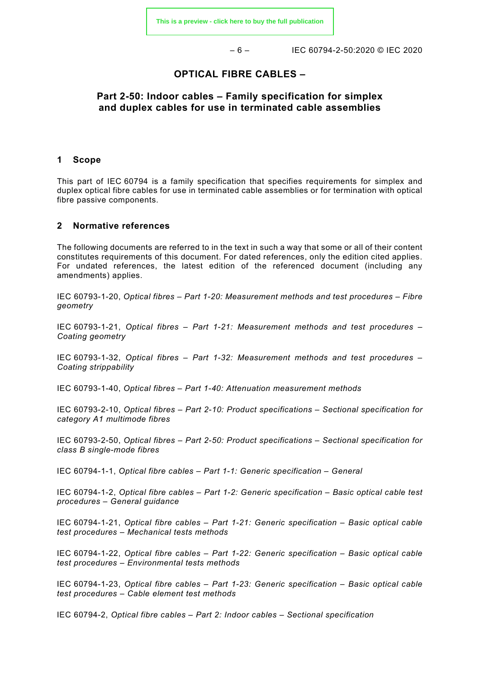– 6 – IEC 60794-2-50:2020 © IEC 2020

#### **OPTICAL FIBRE CABLES –**

#### **Part 2-50: Indoor cables – Family specification for simplex and duplex cables for use in terminated cable assemblies**

#### <span id="page-5-0"></span>**1 Scope**

This part of IEC 60794 is a family specification that specifies requirements for simplex and duplex optical fibre cables for use in terminated cable assemblies or for termination with optical fibre passive components.

#### <span id="page-5-1"></span>**2 Normative references**

The following documents are referred to in the text in such a way that some or all of their content constitutes requirements of this document. For dated references, only the edition cited applies. For undated references, the latest edition of the referenced document (including any amendments) applies.

IEC 60793-1-20, *Optical fibres – Part 1-20: Measurement methods and test procedures – Fibre geometry*

IEC 60793-1-21, *Optical fibres – Part 1-21: Measurement methods and test procedures – Coating geometry*

IEC 60793-1-32, *Optical fibres – Part 1-32: Measurement methods and test procedures – Coating strippability*

IEC 60793-1-40, *Optical fibres – Part 1-40: Attenuation measurement methods*

IEC 60793-2-10, *Optical fibres – Part 2-10: Product specifications – Sectional specification for category A1 multimode fibres*

IEC 60793-2-50, *Optical fibres – Part 2-50: Product specifications – Sectional specification for class B single-mode fibres*

IEC 60794-1-1, *Optical fibre cables – Part 1-1: Generic specification – General*

IEC 60794-1-2, *Optical fibre cables – Part 1-2: Generic specification – Basic optical cable test procedures – General guidance*

IEC 60794-1-21, *Optical fibre cables – Part 1-21: Generic specification – Basic optical cable test procedures – Mechanical tests methods*

IEC 60794-1-22, *Optical fibre cables – Part 1-22: Generic specification – Basic optical cable test procedures – Environmental tests methods*

IEC 60794-1-23, *Optical fibre cables – Part 1-23: Generic specification – Basic optical cable test procedures – Cable element test methods*

IEC 60794-2, *Optical fibre cables – Part 2: Indoor cables – Sectional specification*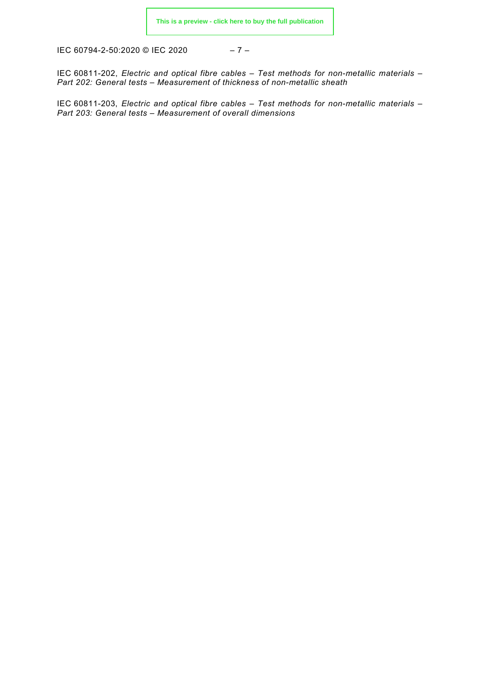IEC 60794-2-50:2020 © IEC 2020 – 7 –

IEC 60811-202, *Electric and optical fibre cables – Test methods for non-metallic materials – Part 202: General tests – Measurement of thickness of non-metallic sheath*

<span id="page-6-4"></span><span id="page-6-3"></span><span id="page-6-2"></span><span id="page-6-1"></span><span id="page-6-0"></span>IEC 60811-203, *Electric and optical fibre cables – Test methods for non-metallic materials – Part 203: General tests – Measurement of overall dimensions*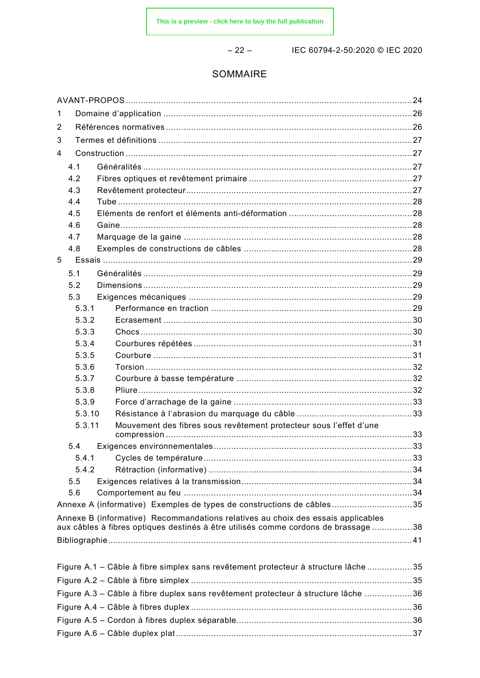$-22-$ 

IEC 60794-2-50:2020 © IEC 2020

## SOMMAIRE

| $\mathbf 1$ |        |                                                                                                                                                                        |  |  |
|-------------|--------|------------------------------------------------------------------------------------------------------------------------------------------------------------------------|--|--|
| 2           |        |                                                                                                                                                                        |  |  |
| 3           |        |                                                                                                                                                                        |  |  |
| 4           |        |                                                                                                                                                                        |  |  |
|             | 4.1    |                                                                                                                                                                        |  |  |
|             | 4.2    |                                                                                                                                                                        |  |  |
|             | 4.3    |                                                                                                                                                                        |  |  |
|             | 4.4    |                                                                                                                                                                        |  |  |
|             | 4.5    |                                                                                                                                                                        |  |  |
|             | 4.6    |                                                                                                                                                                        |  |  |
|             | 4.7    |                                                                                                                                                                        |  |  |
|             | 4.8    |                                                                                                                                                                        |  |  |
| 5           |        |                                                                                                                                                                        |  |  |
|             | 5.1    |                                                                                                                                                                        |  |  |
|             | 5.2    |                                                                                                                                                                        |  |  |
|             | 5.3    |                                                                                                                                                                        |  |  |
|             | 5.3.1  |                                                                                                                                                                        |  |  |
|             | 5.3.2  |                                                                                                                                                                        |  |  |
|             | 5.3.3  |                                                                                                                                                                        |  |  |
|             | 5.3.4  |                                                                                                                                                                        |  |  |
|             | 5.3.5  |                                                                                                                                                                        |  |  |
|             | 5.3.6  |                                                                                                                                                                        |  |  |
|             | 5.3.7  |                                                                                                                                                                        |  |  |
|             | 5.3.8  |                                                                                                                                                                        |  |  |
|             | 5.3.9  |                                                                                                                                                                        |  |  |
|             | 5.3.10 |                                                                                                                                                                        |  |  |
|             | 5.3.11 | Mouvement des fibres sous revêtement protecteur sous l'effet d'une                                                                                                     |  |  |
|             | 5.4    |                                                                                                                                                                        |  |  |
|             |        |                                                                                                                                                                        |  |  |
|             | 5.4.2  |                                                                                                                                                                        |  |  |
|             | 5.5    |                                                                                                                                                                        |  |  |
|             | 5.6    |                                                                                                                                                                        |  |  |
|             |        | Annexe A (informative) Exemples de types de constructions de câbles35                                                                                                  |  |  |
|             |        | Annexe B (informative) Recommandations relatives au choix des essais applicables<br>aux câbles à fibres optiques destinés à être utilisés comme cordons de brassage 38 |  |  |
|             |        |                                                                                                                                                                        |  |  |
|             |        |                                                                                                                                                                        |  |  |
|             |        | Figure A.1 – Câble à fibre simplex sans revêtement protecteur à structure lâche 35                                                                                     |  |  |
|             |        |                                                                                                                                                                        |  |  |
|             |        | Figure A.3 - Câble à fibre duplex sans revêtement protecteur à structure lâche 36                                                                                      |  |  |
|             |        |                                                                                                                                                                        |  |  |
|             |        |                                                                                                                                                                        |  |  |
|             |        |                                                                                                                                                                        |  |  |
|             |        |                                                                                                                                                                        |  |  |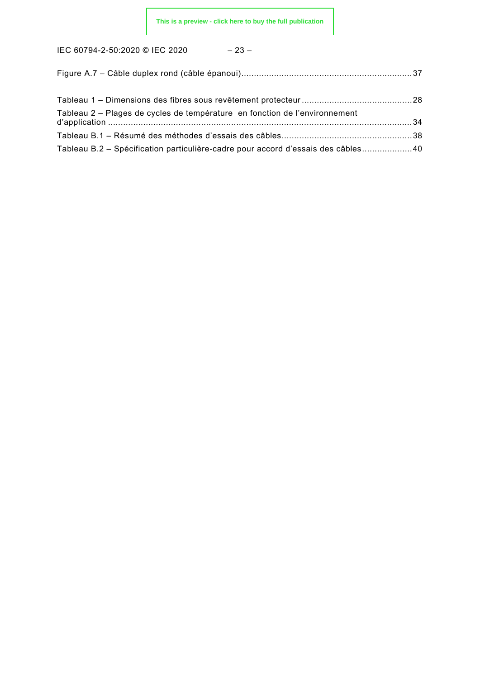IEC 60794-2-50:2020 © IEC 2020 – 23 –

| Tableau 2 – Plages de cycles de température en fonction de l'environnement       |  |
|----------------------------------------------------------------------------------|--|
|                                                                                  |  |
| Tableau B.2 - Spécification particulière-cadre pour accord d'essais des câbles40 |  |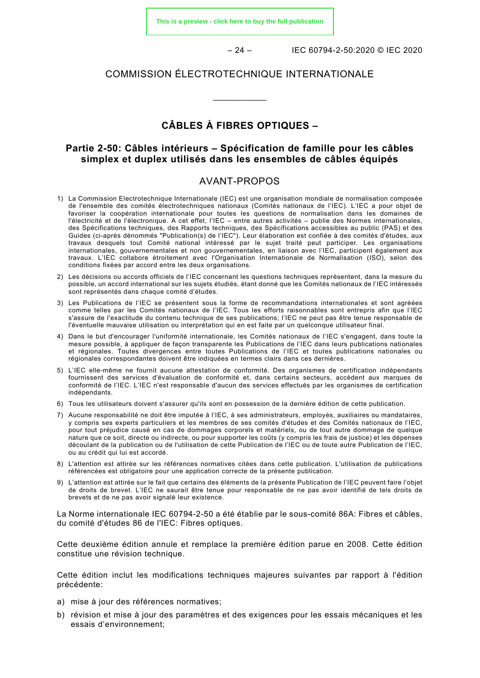**[This is a preview - click here to buy the full publication](https://webstore.iec.ch/publication/34396&preview)**

 $-24 -$  IEC 60794-2-50:2020 © IEC 2020

#### COMMISSION ÉLECTROTECHNIQUE INTERNATIONALE

\_\_\_\_\_\_\_\_\_\_\_\_

# **CÂBLES À FIBRES OPTIQUES –**

#### **Partie 2-50: Câbles intérieurs – Spécification de famille pour les câbles simplex et duplex utilisés dans les ensembles de câbles équipés**

#### AVANT-PROPOS

- <span id="page-9-0"></span>1) La Commission Electrotechnique Internationale (IEC) est une organisation mondiale de normalisation composée de l'ensemble des comités électrotechniques nationaux (Comités nationaux de l'IEC). L'IEC a pour objet de favoriser la coopération internationale pour toutes les questions de normalisation dans les domaines de l'électricité et de l'électronique. A cet effet, l'IEC – entre autres activités – publie des Normes internationales, des Spécifications techniques, des Rapports techniques, des Spécifications accessibles au public (PAS) et des Guides (ci-après dénommés "Publication(s) de l'IEC"). Leur élaboration est confiée à des comités d'études, aux travaux desquels tout Comité national intéressé par le sujet traité peut participer. Les organisations internationales, gouvernementales et non gouvernementales, en liaison avec l'IEC, participent également aux travaux. L'IEC collabore étroitement avec l'Organisation Internationale de Normalisation (ISO), selon des conditions fixées par accord entre les deux organisations.
- 2) Les décisions ou accords officiels de l'IEC concernant les questions techniques représentent, dans la mesure du possible, un accord international sur les sujets étudiés, étant donné que les Comités nationaux de l'IEC intéressés sont représentés dans chaque comité d'études.
- 3) Les Publications de l'IEC se présentent sous la forme de recommandations internationales et sont agréées comme telles par les Comités nationaux de l'IEC. Tous les efforts raisonnables sont entrepris afin que l'IEC s'assure de l'exactitude du contenu technique de ses publications; l'IEC ne peut pas être tenue responsable de l'éventuelle mauvaise utilisation ou interprétation qui en est faite par un quelconque utilisateur final.
- 4) Dans le but d'encourager l'uniformité internationale, les Comités nationaux de l'IEC s'engagent, dans toute la mesure possible, à appliquer de façon transparente les Publications de l'IEC dans leurs publications nationales et régionales. Toutes divergences entre toutes Publications de l'IEC et toutes publications nationales ou régionales correspondantes doivent être indiquées en termes clairs dans ces dernières.
- 5) L'IEC elle-même ne fournit aucune attestation de conformité. Des organismes de certification indépendants fournissent des services d'évaluation de conformité et, dans certains secteurs, accèdent aux marques de conformité de l'IEC. L'IEC n'est responsable d'aucun des services effectués par les organismes de certification indépendants.
- 6) Tous les utilisateurs doivent s'assurer qu'ils sont en possession de la dernière édition de cette publication.
- 7) Aucune responsabilité ne doit être imputée à l'IEC, à ses administrateurs, employés, auxiliaires ou mandataires, y compris ses experts particuliers et les membres de ses comités d'études et des Comités nationaux de l'IEC, pour tout préjudice causé en cas de dommages corporels et matériels, ou de tout autre dommage de quelque nature que ce soit, directe ou indirecte, ou pour supporter les coûts (y compris les frais de justice) et les dépenses découlant de la publication ou de l'utilisation de cette Publication de l'IEC ou de toute autre Publication de l'IEC, ou au crédit qui lui est accordé.
- 8) L'attention est attirée sur les références normatives citées dans cette publication. L'utilisation de publications référencées est obligatoire pour une application correcte de la présente publication.
- 9) L'attention est attirée sur le fait que certains des éléments de la présente Publication de l'IEC peuvent faire l'objet de droits de brevet. L'IEC ne saurait être tenue pour responsable de ne pas avoir identifié de tels droits de brevets et de ne pas avoir signalé leur existence.

La Norme internationale IEC 60794-2-50 a été établie par le sous-comité 86A: Fibres et câbles, du comité d'études 86 de l'IEC: Fibres optiques.

Cette deuxième édition annule et remplace la première édition parue en 2008. Cette édition constitue une révision technique.

Cette édition inclut les modifications techniques majeures suivantes par rapport à l'édition précédente:

- a) mise à jour des références normatives;
- b) révision et mise à jour des paramètres et des exigences pour les essais mécaniques et les essais d'environnement;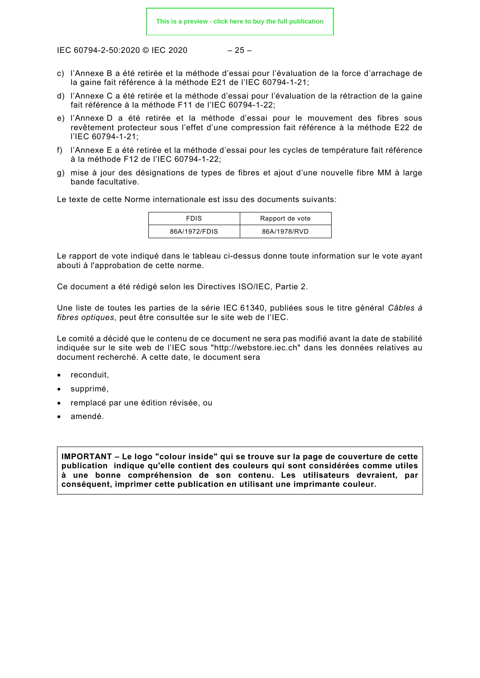IEC 60794-2-50:2020 © IEC 2020

$$
-25-
$$

- c) l'Annexe B a été retirée et la méthode d'essai pour l'évaluation de la force d'arrachage de la gaine fait référence à la méthode E21 de l'IEC 60794-1-21;
- d) l'Annexe C a été retirée et la méthode d'essai pour l'évaluation de la rétraction de la gaine fait référence à la méthode F11 de l'IEC 60794-1-22;
- e) l'Annexe D a été retirée et la méthode d'essai pour le mouvement des fibres sous revêtement protecteur sous l'effet d'une compression fait référence à la méthode E22 de l'IEC 60794-1-21;
- f) l'Annexe E a été retirée et la méthode d'essai pour les cycles de température fait référence à la méthode F12 de l'IEC 60794-1-22;
- g) mise à jour des désignations de types de fibres et ajout d'une nouvelle fibre MM à large bande facultative.

Le texte de cette Norme internationale est issu des documents suivants:

| <b>FDIS</b>   | Rapport de vote |
|---------------|-----------------|
| 86A/1972/FDIS | 86A/1978/RVD    |

Le rapport de vote indiqué dans le tableau ci-dessus donne toute information sur le vote ayant abouti à l'approbation de cette norme.

Ce document a été rédigé selon les Directives ISO/IEC, Partie 2.

Une liste de toutes les parties de la série IEC 61340, publiées sous le titre général *Câbles à fibres optiques*, peut être consultée sur le site web de l'IEC.

Le comité a décidé que le contenu de ce document ne sera pas modifié avant la date de stabilité indiquée sur le site web de l'IEC sous "http://webstore.iec.ch" dans les données relatives au document recherché. A cette date, le document sera

- reconduit,
- supprimé,
- remplacé par une édition révisée, ou
- amendé.

**IMPORTANT – Le logo "colour inside" qui se trouve sur la page de couverture de cette publication indique qu'elle contient des couleurs qui sont considérées comme utiles à une bonne compréhension de son contenu. Les utilisateurs devraient, par conséquent, imprimer cette publication en utilisant une imprimante couleur.**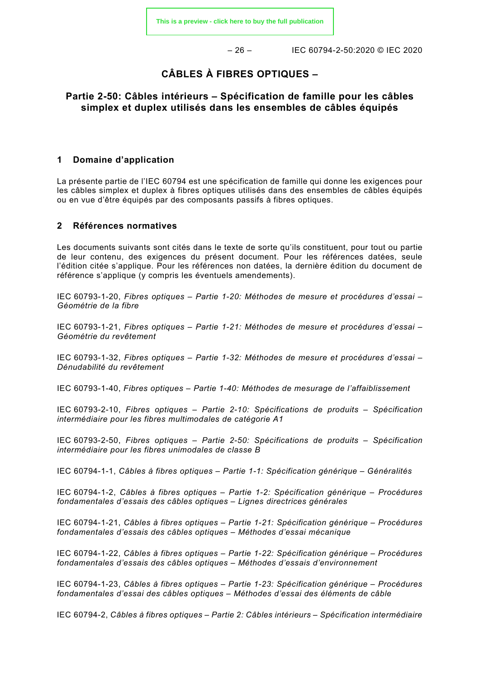$-26 -$  IEC 60794-2-50:2020 © IEC 2020

### **CÂBLES À FIBRES OPTIQUES –**

#### **Partie 2-50: Câbles intérieurs – Spécification de famille pour les câbles simplex et duplex utilisés dans les ensembles de câbles équipés**

#### <span id="page-11-0"></span>**1 Domaine d'application**

La présente partie de l'IEC 60794 est une spécification de famille qui donne les exigences pour les câbles simplex et duplex à fibres optiques utilisés dans des ensembles de câbles équipés ou en vue d'être équipés par des composants passifs à fibres optiques.

#### <span id="page-11-1"></span>**2 Références normatives**

Les documents suivants sont cités dans le texte de sorte qu'ils constituent, pour tout ou partie de leur contenu, des exigences du présent document. Pour les références datées, seule l'édition citée s'applique. Pour les références non datées, la dernière édition du document de référence s'applique (y compris les éventuels amendements).

IEC 60793-1-20, *Fibres optiques – Partie 1-20: Méthodes de mesure et procédures d'essai – Géométrie de la fibre*

IEC 60793-1-21, *Fibres optiques – Partie 1-21: Méthodes de mesure et procédures d'essai – Géométrie du revêtement*

IEC 60793-1-32, *Fibres optiques – Partie 1-32: Méthodes de mesure et procédures d'essai – Dénudabilité du revêtement*

IEC 60793-1-40, *Fibres optiques – Partie 1-40: Méthodes de mesurage de l'affaiblissement*

IEC 60793-2-10, *Fibres optiques – Partie 2-10: Spécifications de produits – Spécification intermédiaire pour les fibres multimodales de catégorie A1*

IEC 60793-2-50, *Fibres optiques – Partie 2-50: Spécifications de produits – Spécification intermédiaire pour les fibres unimodales de classe B*

IEC 60794-1-1, *Câbles à fibres optiques – Partie 1-1: Spécification générique – Généralités*

IEC 60794-1-2, *Câbles à fibres optiques – Partie 1-2: Spécification générique – Procédures fondamentales d'essais des câbles optiques – Lignes directrices générales*

IEC 60794-1-21, *Câbles à fibres optiques – Partie 1-21: Spécification générique – Procédures fondamentales d'essais des câbles optiques – Méthodes d'essai mécanique*

IEC 60794-1-22, *Câbles à fibres optiques – Partie 1-22: Spécification générique – Procédures fondamentales d'essais des câbles optiques – Méthodes d'essais d'environnement*

IEC 60794-1-23, *Câbles à fibres optiques – Partie 1-23: Spécification générique – Procédures fondamentales d'essai des câbles optiques – Méthodes d'essai des éléments de câble*

IEC 60794-2, *Câbles à fibres optiques – Partie 2: Câbles intérieurs – Spécification intermédiaire*